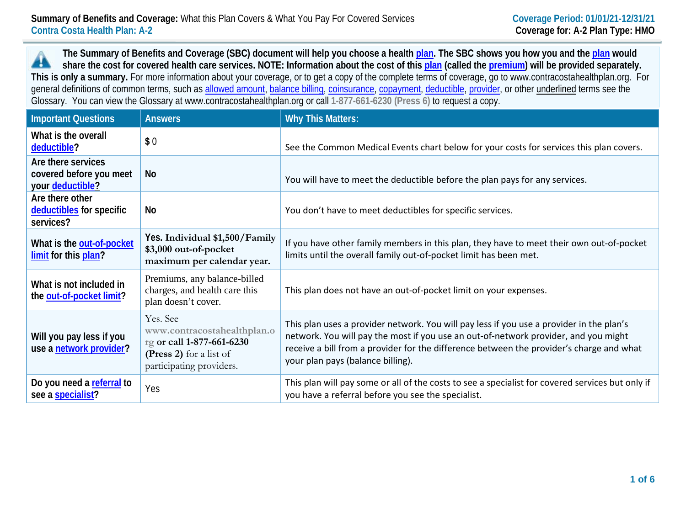**The Summary of Benefits and Coverage (SBC) document will help you choose a health [plan.](https://www.healthcare.gov/sbc-glossary/#plan) The SBC shows you how you and th[e plan](https://www.healthcare.gov/sbc-glossary/#plan) would** ▲ **share the cost for covered health care services. NOTE: Information about the cost of this [plan](https://www.healthcare.gov/sbc-glossary/#plan) (called the [premium\)](https://www.healthcare.gov/sbc-glossary/#premium) will be provided separately. This is only a summary.** For more information about your coverage, or to get a copy of the complete terms of coverage, go to www.contracostahealthplan.org. For general definitions of common terms, such as [allowed amount,](https://www.healthcare.gov/sbc-glossary/#allowed-amount) [balance billing,](https://www.healthcare.gov/sbc-glossary/#balance-billing) [coinsurance,](https://www.healthcare.gov/sbc-glossary/#coinsurance) [copayment,](https://www.healthcare.gov/sbc-glossary/#copayment) [deductible,](https://www.healthcare.gov/sbc-glossary/#deductible) [provider,](https://www.healthcare.gov/sbc-glossary/#provider) or other underlined terms see the Glossary. You can view the Glossary at www.contracostahealthplan.org or call **1-877-661-6230 (Press 6)** to request a copy.

| <b>Important Questions</b>                                        | <b>Answers</b>                                                                                                              | <b>Why This Matters:</b>                                                                                                                                                                                                                                                                                         |
|-------------------------------------------------------------------|-----------------------------------------------------------------------------------------------------------------------------|------------------------------------------------------------------------------------------------------------------------------------------------------------------------------------------------------------------------------------------------------------------------------------------------------------------|
| What is the overall<br>deductible?                                | \$0                                                                                                                         | See the Common Medical Events chart below for your costs for services this plan covers.                                                                                                                                                                                                                          |
| Are there services<br>covered before you meet<br>your deductible? | <b>No</b>                                                                                                                   | You will have to meet the deductible before the plan pays for any services.                                                                                                                                                                                                                                      |
| Are there other<br>deductibles for specific<br>services?          | No                                                                                                                          | You don't have to meet deductibles for specific services.                                                                                                                                                                                                                                                        |
| What is the out-of-pocket<br>limit for this plan?                 | Yes. Individual \$1,500/Family<br>\$3,000 out-of-pocket<br>maximum per calendar year.                                       | If you have other family members in this plan, they have to meet their own out-of-pocket<br>limits until the overall family out-of-pocket limit has been met.                                                                                                                                                    |
| What is not included in<br>the out-of-pocket limit?               | Premiums, any balance-billed<br>charges, and health care this<br>plan doesn't cover.                                        | This plan does not have an out-of-pocket limit on your expenses.                                                                                                                                                                                                                                                 |
| Will you pay less if you<br>use a network provider?               | Yes. See<br>www.contracostahealthplan.o<br>rg or call 1-877-661-6230<br>(Press 2) for a list of<br>participating providers. | This plan uses a provider network. You will pay less if you use a provider in the plan's<br>network. You will pay the most if you use an out-of-network provider, and you might<br>receive a bill from a provider for the difference between the provider's charge and what<br>your plan pays (balance billing). |
| Do you need a referral to<br>see a specialist?                    | Yes                                                                                                                         | This plan will pay some or all of the costs to see a specialist for covered services but only if<br>you have a referral before you see the specialist.                                                                                                                                                           |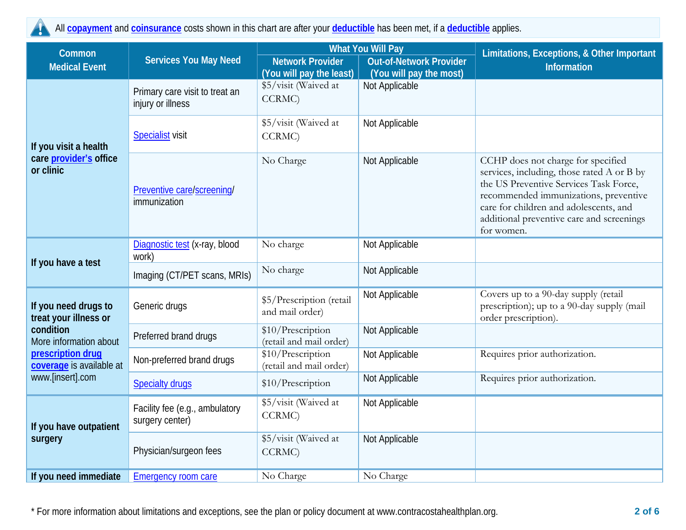All **[copayment](https://www.healthcare.gov/sbc-glossary/#copayment)** and **[coinsurance](https://www.healthcare.gov/sbc-glossary/#coinsurance)** costs shown in this chart are after your **[deductible](https://www.healthcare.gov/sbc-glossary/#deductible)** has been met, if a **[deductible](https://www.healthcare.gov/sbc-glossary/#deductible)** applies.

| Common                                                                                                                                                    | <b>Services You May Need</b>                        | <b>What You Will Pay</b>                     |                                | Limitations, Exceptions, & Other Important                                                                                                                                                                                                                               |  |
|-----------------------------------------------------------------------------------------------------------------------------------------------------------|-----------------------------------------------------|----------------------------------------------|--------------------------------|--------------------------------------------------------------------------------------------------------------------------------------------------------------------------------------------------------------------------------------------------------------------------|--|
| <b>Medical Event</b>                                                                                                                                      |                                                     | <b>Network Provider</b>                      | <b>Out-of-Network Provider</b> | <b>Information</b>                                                                                                                                                                                                                                                       |  |
|                                                                                                                                                           |                                                     | (You will pay the least)                     | (You will pay the most)        |                                                                                                                                                                                                                                                                          |  |
| If you visit a health<br>care <i>provider's</i> office<br>or clinic                                                                                       | Primary care visit to treat an<br>injury or illness | \$5/visit (Waived at<br>CCRMC)               | Not Applicable                 |                                                                                                                                                                                                                                                                          |  |
|                                                                                                                                                           | <b>Specialist</b> visit                             | \$5/visit (Waived at<br>CCRMC)               | Not Applicable                 |                                                                                                                                                                                                                                                                          |  |
|                                                                                                                                                           | Preventive care/screening/<br>immunization          | No Charge                                    | Not Applicable                 | CCHP does not charge for specified<br>services, including, those rated A or B by<br>the US Preventive Services Task Force,<br>recommended immunizations, preventive<br>care for children and adolescents, and<br>additional preventive care and screenings<br>for women. |  |
|                                                                                                                                                           | Diagnostic test (x-ray, blood<br>work)              | No charge                                    | Not Applicable                 |                                                                                                                                                                                                                                                                          |  |
| If you have a test                                                                                                                                        | Imaging (CT/PET scans, MRIs)                        | No charge                                    | Not Applicable                 |                                                                                                                                                                                                                                                                          |  |
| If you need drugs to<br>treat your illness or<br>condition<br>More information about<br>prescription drug<br>coverage is available at<br>www.[insert].com | Generic drugs                                       | \$5/Prescription (retail<br>and mail order)  | Not Applicable                 | Covers up to a 90-day supply (retail<br>prescription); up to a 90-day supply (mail<br>order prescription).                                                                                                                                                               |  |
|                                                                                                                                                           | Preferred brand drugs                               | \$10/Prescription<br>(retail and mail order) | Not Applicable                 |                                                                                                                                                                                                                                                                          |  |
|                                                                                                                                                           | Non-preferred brand drugs                           | \$10/Prescription<br>(retail and mail order) | Not Applicable                 | Requires prior authorization.                                                                                                                                                                                                                                            |  |
|                                                                                                                                                           | <b>Specialty drugs</b>                              | \$10/Prescription                            | Not Applicable                 | Requires prior authorization.                                                                                                                                                                                                                                            |  |
| If you have outpatient<br>surgery                                                                                                                         | Facility fee (e.g., ambulatory<br>surgery center)   | \$5/visit (Waived at<br>CCRMC)               | Not Applicable                 |                                                                                                                                                                                                                                                                          |  |
|                                                                                                                                                           | Physician/surgeon fees                              | \$5/visit (Waived at<br>CCRMC)               | Not Applicable                 |                                                                                                                                                                                                                                                                          |  |
| If you need immediate                                                                                                                                     | <b>Emergency room care</b>                          | No Charge                                    | No Charge                      |                                                                                                                                                                                                                                                                          |  |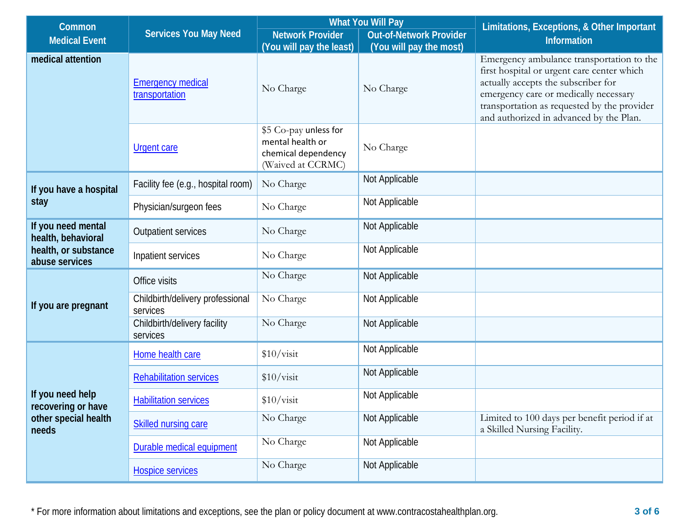| <b>Common</b>                                                                      | <b>Services You May Need</b>                 | <b>What You Will Pay</b>                                                              |                         | Limitations, Exceptions, & Other Important                                                                                                                                                                                                                        |  |
|------------------------------------------------------------------------------------|----------------------------------------------|---------------------------------------------------------------------------------------|-------------------------|-------------------------------------------------------------------------------------------------------------------------------------------------------------------------------------------------------------------------------------------------------------------|--|
|                                                                                    |                                              | <b>Network Provider</b><br><b>Out-of-Network Provider</b>                             |                         |                                                                                                                                                                                                                                                                   |  |
| <b>Medical Event</b>                                                               |                                              | (You will pay the least)                                                              | (You will pay the most) | <b>Information</b>                                                                                                                                                                                                                                                |  |
| medical attention                                                                  | <b>Emergency medical</b><br>transportation   | No Charge                                                                             | No Charge               | Emergency ambulance transportation to the<br>first hospital or urgent care center which<br>actually accepts the subscriber for<br>emergency care or medically necessary<br>transportation as requested by the provider<br>and authorized in advanced by the Plan. |  |
|                                                                                    | <b>Urgent care</b>                           | \$5 Co-pay unless for<br>mental health or<br>chemical dependency<br>(Waived at CCRMC) | No Charge               |                                                                                                                                                                                                                                                                   |  |
| If you have a hospital<br>stay                                                     | Facility fee (e.g., hospital room)           | No Charge                                                                             | Not Applicable          |                                                                                                                                                                                                                                                                   |  |
|                                                                                    | Physician/surgeon fees                       | No Charge                                                                             | Not Applicable          |                                                                                                                                                                                                                                                                   |  |
| If you need mental<br>health, behavioral<br>health, or substance<br>abuse services | Outpatient services                          | No Charge                                                                             | Not Applicable          |                                                                                                                                                                                                                                                                   |  |
|                                                                                    | Inpatient services                           | No Charge                                                                             | Not Applicable          |                                                                                                                                                                                                                                                                   |  |
| If you are pregnant                                                                | Office visits                                | No Charge                                                                             | Not Applicable          |                                                                                                                                                                                                                                                                   |  |
|                                                                                    | Childbirth/delivery professional<br>services | No Charge                                                                             | Not Applicable          |                                                                                                                                                                                                                                                                   |  |
|                                                                                    | Childbirth/delivery facility<br>services     | No Charge                                                                             | Not Applicable          |                                                                                                                                                                                                                                                                   |  |
| If you need help<br>recovering or have<br>other special health<br>needs            | Home health care                             | \$10/visit                                                                            | Not Applicable          |                                                                                                                                                                                                                                                                   |  |
|                                                                                    | <b>Rehabilitation services</b>               | \$10/visit                                                                            | Not Applicable          |                                                                                                                                                                                                                                                                   |  |
|                                                                                    | <b>Habilitation services</b>                 | \$10/visit                                                                            | Not Applicable          |                                                                                                                                                                                                                                                                   |  |
|                                                                                    | <b>Skilled nursing care</b>                  | No Charge                                                                             | Not Applicable          | Limited to 100 days per benefit period if at<br>a Skilled Nursing Facility.                                                                                                                                                                                       |  |
|                                                                                    | Durable medical equipment                    | No Charge                                                                             | Not Applicable          |                                                                                                                                                                                                                                                                   |  |
|                                                                                    | <b>Hospice services</b>                      | No Charge                                                                             | Not Applicable          |                                                                                                                                                                                                                                                                   |  |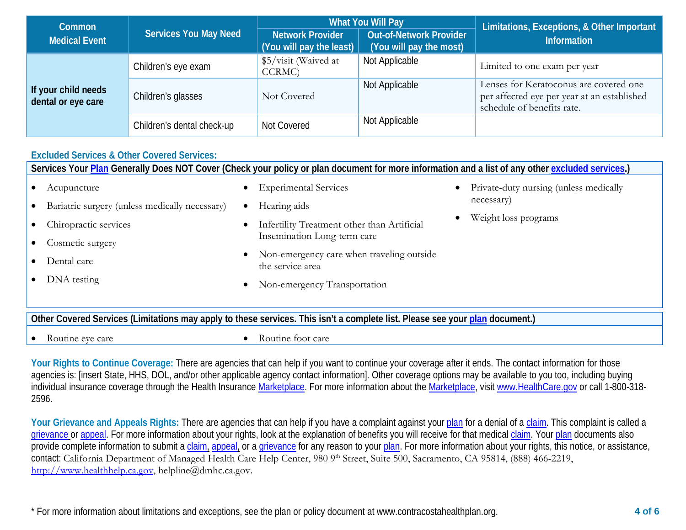| <b>Common</b>                             | <b>Services You May Need</b> | <b>What You Will Pay</b>                            |                                                           | Limitations, Exceptions, & Other Important                                                                          |  |
|-------------------------------------------|------------------------------|-----------------------------------------------------|-----------------------------------------------------------|---------------------------------------------------------------------------------------------------------------------|--|
| <b>Medical Event</b>                      |                              | <b>Network Provider</b><br>(You will pay the least) | <b>Out-of-Network Provider</b><br>(You will pay the most) | <b>Information</b>                                                                                                  |  |
| If your child needs<br>dental or eye care | Children's eye exam          | \$5/visit (Waived at<br>CCRMC)                      | Not Applicable                                            | Limited to one exam per year                                                                                        |  |
|                                           | Children's glasses           | Not Covered                                         | Not Applicable                                            | Lenses for Keratoconus are covered one<br>per affected eye per year at an established<br>schedule of benefits rate. |  |
|                                           | Children's dental check-up   | Not Covered                                         | Not Applicable                                            |                                                                                                                     |  |

## **Excluded Services & Other Covered Services:**

| Services Your Plan Generally Does NOT Cover (Check your policy or plan document for more information and a list of any other excluded services.) |                                                                            |                                        |  |  |  |
|--------------------------------------------------------------------------------------------------------------------------------------------------|----------------------------------------------------------------------------|----------------------------------------|--|--|--|
| Acupuncture                                                                                                                                      | <b>Experimental Services</b><br>$\bullet$                                  | Private-duty nursing (unless medically |  |  |  |
| Bariatric surgery (unless medically necessary)                                                                                                   | Hearing aids<br>$\bullet$                                                  | necessary)                             |  |  |  |
| Chiropractic services                                                                                                                            | Infertility Treatment other than Artificial<br>$\bullet$                   | Weight loss programs                   |  |  |  |
| Cosmetic surgery                                                                                                                                 | Insemination Long-term care                                                |                                        |  |  |  |
| Dental care                                                                                                                                      | Non-emergency care when traveling outside<br>$\bullet$<br>the service area |                                        |  |  |  |
| DNA testing                                                                                                                                      | Non-emergency Transportation<br>$\bullet$                                  |                                        |  |  |  |
|                                                                                                                                                  |                                                                            |                                        |  |  |  |
| Other Covered Services (Limitations may apply to these services. This isn't a complete list. Please see your plan document.)                     |                                                                            |                                        |  |  |  |

Routine eye care **•** Routine foot care • Routine foot care

Your Rights to Continue Coverage: There are agencies that can help if you want to continue your coverage after it ends. The contact information for those agencies is: [insert State, HHS, DOL, and/or other applicable agency contact information]. Other coverage options may be available to you too, including buying individual insurance coverage through the Health Insurance [Marketplace.](https://www.healthcare.gov/sbc-glossary/#marketplace) For more information about the [Marketplace,](https://www.healthcare.gov/sbc-glossary/#marketplace) visi[t www.HealthCare.gov](http://www.healthcare.gov/) or call 1-800-318-2596.

Your Grievance and Appeals Rights: There are agencies that can help if you have a complaint against you[r plan](https://www.healthcare.gov/sbc-glossary/#plan) for a denial of a [claim.](https://www.healthcare.gov/sbc-glossary/#claim) This complaint is called a [grievance](https://www.healthcare.gov/sbc-glossary/#grievance) or [appeal.](https://www.healthcare.gov/sbc-glossary/#appeal) For more information about your rights, look at the explanation of benefits you will receive for that medica[l claim.](https://www.healthcare.gov/sbc-glossary/#claim) Your [plan](https://www.healthcare.gov/sbc-glossary/#plan) documents also provide complete information to submit a [claim,](https://www.healthcare.gov/sbc-glossary/#claim) [appeal,](https://www.healthcare.gov/sbc-glossary/#appeal) or a [grievance](https://www.healthcare.gov/sbc-glossary/#grievance) for any reason to your [plan.](https://www.healthcare.gov/sbc-glossary/#plan) For more information about your rights, this notice, or assistance, contact: California Department of Managed Health Care Help Center, 980 9th Street, Suite 500, Sacramento, CA 95814, (888) 466-2219, [http://www.healthhelp.ca.gov,](http://www.healthhelp.ca.gov/) helpline@dmhc.ca.gov.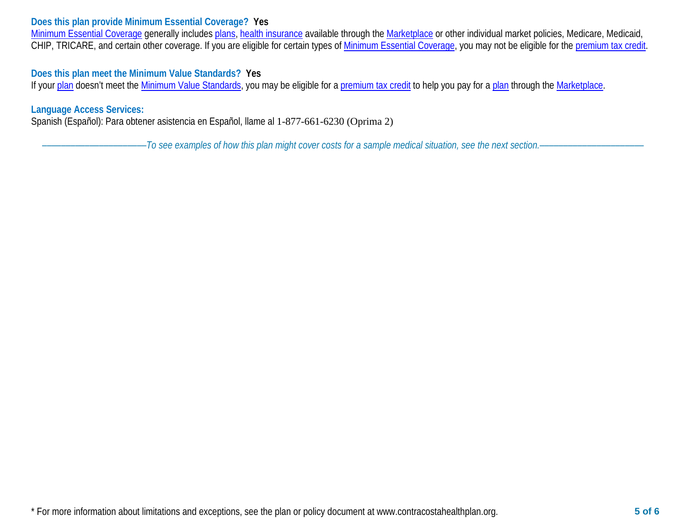## **Does this plan provide Minimum Essential Coverage? Yes**

[Minimum Essential Coverage](https://www.healthcare.gov/sbc-glossary/#minimum-essential-coverage) generally includes [plans,](https://www.healthcare.gov/sbc-glossary/#plan) [health insurance](https://www.healthcare.gov/sbc-glossary/#health-insurance) available through the [Marketplace](https://www.healthcare.gov/sbc-glossary/#marketplace) or other individual market policies, Medicare, Medicaid, CHIP, TRICARE, and certain other coverage. If you are eligible for certain types of [Minimum Essential Coverage,](https://www.healthcare.gov/sbc-glossary/#minimum-essential-coverage) you may not be eligible for the [premium tax credit.](https://www.healthcare.gov/sbc-glossary/#premium-tax-credits)

## **Does this plan meet the Minimum Value Standards? Yes**

If your [plan](https://www.healthcare.gov/sbc-glossary/#plan) doesn't meet the [Minimum Value Standards,](https://www.healthcare.gov/sbc-glossary/#minimum-value-standard) you may be eligible for a [premium tax credit](https://www.healthcare.gov/sbc-glossary/#premium-tax-credits) to help you pay for a plan through the [Marketplace.](https://www.healthcare.gov/sbc-glossary/#marketplace)

## **Language Access Services:**

Spanish (Español): Para obtener asistencia en Español, llame al 1-877-661-6230 (Oprima 2)

––––––––––––––––––––––*To see examples of how this plan might cover costs for a sample medical situation, see the next section.–––––––––––*–––––––––––